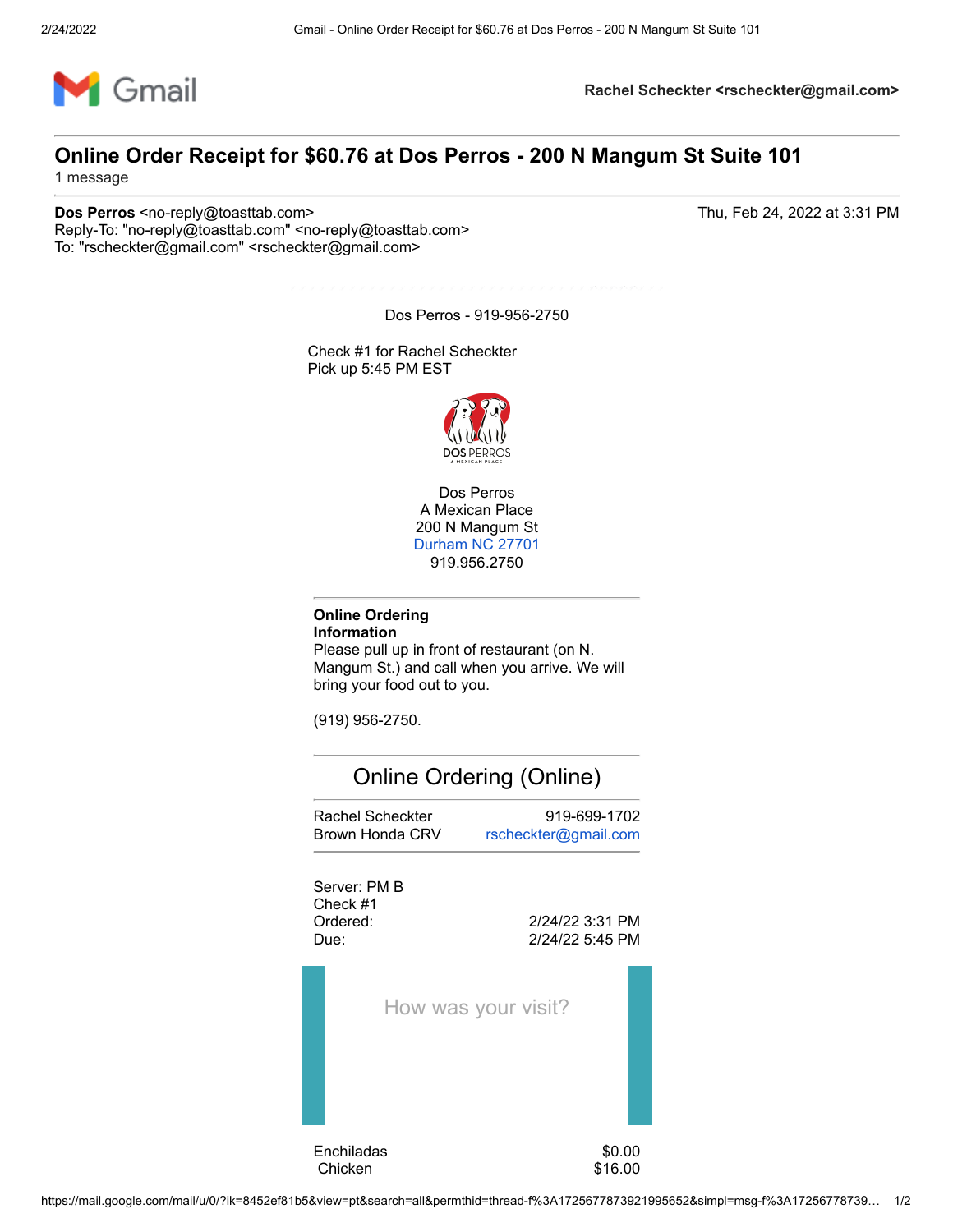

## **Online Order Receipt for \$60.76 at Dos Perros - 200 N Mangum St Suite 101**

1 message

**Dos Perros** <no-reply@toasttab.com> Thu, Feb 24, 2022 at 3:31 PM Reply-To: "no-reply@toasttab.com" <no-reply@toasttab.com> To: "rscheckter@gmail.com" <rscheckter@gmail.com>

Dos Perros - 919-956-2750

Check #1 for Rachel Scheckter Pick up 5:45 PM EST



Dos Perros A Mexican Place 200 N Mangum St [Durham NC 27701](https://www.google.com/maps/search/200+N+Mangum+St+Durham+NC+27701?entry=gmail&source=g) 919.956.2750

#### **Online Ordering Information**

Please pull up in front of restaurant (on N. Mangum St.) and call when you arrive. We will bring your food out to you.

(919) 956-2750.

# Online Ordering (Online) Rachel Scheckter 919-699-1702 Brown Honda CRV [rscheckter@gmail.com](mailto:rscheckter@gmail.com)

Server: PM B Check #1



How was your visit?